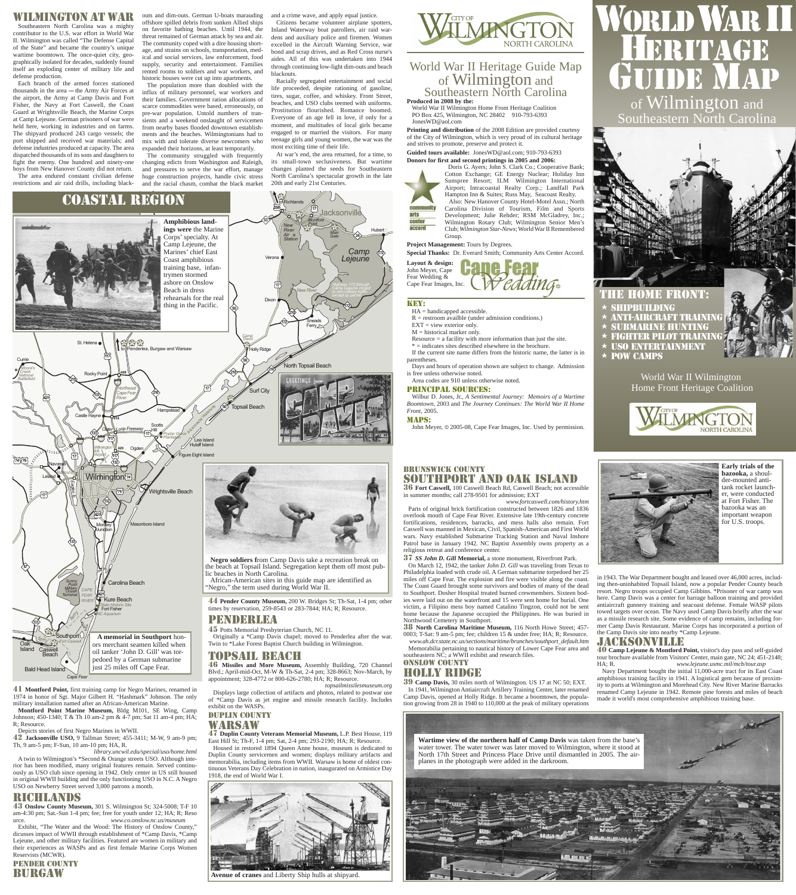Southeastern North Carolina

World War II Wilmington Home Front Heritage Coalition







- **ANTI-AIRCRAFT TRAINING**  $\star$  submarine hunting  $\star$  FIGHTER PILOT TRAINING
- $\star$  uso entertainment
- $\star$  POW CAMPS

### Wilmin gton at War

Southeastern North Carolina was a mighty contributor to the U.S. war effort in World War II. Wilmington was called "The Defense Capital of the State" and became the country's unique wartime boomtown. The once-quiet city, geographically isolated for decades, suddenly found itself an exploding center of military life and defense production.

Each branch of the armed forces stationed thousands in the area  $-$  the Army Air Forces at the airport, the Army at Camp Davis and Fort Fisher, the Navy at Fort Caswell, the Coast Guard at Wrightsville Beach, the Marine Corps at Camp Lejeune. German prisoners of war were held here, working in industries and on farms. The shipyard produced 243 cargo vessels; the port shipped and received war materials; and defense industries produced at capacity. The area dispatched thousands of its sons and daughters to fight the enemy. One hundred and ninety-one boys from New Hanover County did not return.

outs and dim-outs. German U-boats marauding offshore spilled debris from sunken Allied ships on favorite bathing beaches. Until 1944, the threat remained of German attack by sea and air. The community coped with a dire housing shortage, and strains on schools, transportation, medical and social services, law enforcement, food supply, security and entertainment. Families rented rooms to soldiers and war workers, and historic houses were cut up into apartments.

The area endured constant civilian defense huge construction projects, handle civic stress The community struggled with frequently changing edicts from Washington and Raleigh, and pressures to serve the war effort, manage

The population more than doubled with the influx of military personnel, war workers and their families. Government ration allocations of scarce commodities were based, erroneously, on pre-war population. Untold numbers of transients and a weekend onslaught of servicemen from nearby bases flooded downtown establishments and the beaches. Wilmingtonians had to mix with and tolerate diverse newcomers who expanded their horizons, at least temporarily.

- $HA =$  handicapped accessible.
- $R =$  restroom availble (under admission conditions.)
- $EXT = view$  exterior only.  $M =$  historical marker only.
- Resource  $=$  a facility with more information than just the site.
- \* = indicates sites described elsewhere in the brochure.

#### and a crime wave, and apply equal justice. Citizens became volunteer airplane spotters, Inland Waterway boat patrollers, air raid wardens and auxiliary police and firemen. Women excelled in the Aircraft Warning Service, war bond and scrap drives, and as Red Cross nurse's aides. All of this was undertaken into 1944 through continuing low-light dim-outs and beach blackouts.

Racially segregated entertainment and social life proceeded, despite rationing of gasoline, tires, sugar, coffee, and whiskey. Front Street, beaches, and USO clubs teemed with uniforms. Prostitution flourished. Romance boomed. Everyone of an age fell in love, if only for a moment, and multitudes of local girls became engaged to or married the visitors. For many teenage girls and young women, the war was the most exciting time of their life.

At war's end, the area returned, for a time, to its small-town seclusiveness. But wartime changes planted the seeds for Southeastern North Carolina's spectacular growth in the late 20th and early 21st Centuries.

## World War II Heritage Guide Map of Wilmington and Southeastern North Carolina

**Produced in 2008 by the:**

World War II Wilmington Home Front Heritage Coalition PO Box 425, Wilmington, NC 28402 910-793-6393 JonesWD@aol.com

**Printing and distribution** of the 2008 Edition are provided courtesy of the City of Wilmington, which is very proud of its cultural heritage and strives to promote, preserve and protect it.

#### KEY:

38 **North Carolina Maritime Museum,** 116 North Howe Street; 457- 0003; T-Sat: 9 am-5 pm; fee; children 15 & under free; HA; R; Resource. *www.ah.dcr.state.nc.us/sections/maritime/branches/southport\_default.htm* Memorabilia pertaining to nautical history of Lower Cape Fear area and southeastern NC; a WWII exhibit and research files.

If the current site name differs from the historic name, the latter is in parentheses.

Days and hours of operation shown are subject to change. Admission is free unless otherwise noted.

Area codes are 910 unless otherwise noted.

#### PRINCIPAL SOURCES:

Wilbur D. Jones, Jr., *A Sentimental Journey: Memoirs of a Wartime Boomtown*, 2003 and *The Journey Continues: The World War II Home Front*, 2005.

#### MAPS:

John Meyer, © 2005-08, Cape Fear Images, Inc. Used by permission.

*FEAR RIVER* **Guided tours available:** JonesWD@aol.com; 910-793-6393 **Donors for first and second printings in 2005 and 2006:**

*State Historic Site* Fort Fisher *NC Aquarium*

*Terminal*



Kure Beach



Cotton Exchange; GE Energy Nuclear; Holiday Inn Sunspree Resort; ILM Wilmington International Airport; Intracoastal Realty Corp.; Landfall Park Hampton Inn & Suites; Russ May, Seacoast Realty. Also: New Hanover County Hotel-Motel Assn.; North Carolina Division of Tourism, Film and Sports Development; Julie Rehder; RSM McGladrey, Inc.; Wilmington Rotary Club; Wilmington Senior Men's Club; *Wilmington Star-News*; World War II Remembered

#### **Project Management:** Tours by Degrees.

**Special Thanks:** Dr. Everard Smith; Community Arts Center Accord.

**Layout & design:** John Meyer, Cape Fear Wedding & W edding. Cape Fear Images, Inc.

**A memorial in Southport** honors merchant seamen killed when oil tanker 'John D. Gill' was torpedoed by a German submarine just 25 miles off Cape Fear.



### BRUNSWICK COUNTY SOUTHPORT and OAK ISLAND

36 **Fort Caswell,** 100 Caswell Beach Rd, Caswell Beach; not accessible in summer months; call 278-9501 for admission; EXT *www.fortcaswell.com/history.htm* 

Parts of original brick fortification constructed between 1826 and 1836 overlook mouth of Cape Fear River. Extensive late 19th-century concrete fortifications, residences, barracks, and mess halls also remain. Fort Caswell was manned in Mexican, Civil, Spanish-American and First World wars. Navy established Submarine Tracking Station and Naval Inshore Patrol base in January 1942. NC Baptist Assembly owns property as a religious retreat and conference center.

37 *SS John D. Gill* **Memorial,** a stone monument, Riverfront Park. On March 12, 1942, the tanker *John D. Gill* was traveling from Texas to Philadelphia loaded with crude oil. A German submarine torpedoed her 25 miles off Cape Fear. The explosion and fire were visible along the coast. The Coast Guard brought some survivors and bodies of many of the dead to Southport. Dosher Hospital treated burned crewmembers. Sixteen bodies were laid out on the waterfront and 15 were sent home for burial. One victim, a Filipino mess boy named Catalino Tingzon, could not be sent home because the Japanese occupied the Philippines. He was buried in Northwood Cemetery in Southport.

# WORLD WAR II HERITAGE GUIDE MAP of Wilmington and

### ONSLOW COUNTY HOLLY RIDGE

39 **Camp Davis,** 30 miles north of Wilmington. US 17 at NC 50; EXT. In 1941, Wilmington Antiaircraft Artillery Training Center, later renamed Camp Davis, opened at Holly Ridge. It became a boomtown, the population growing from 28 in 1940 to 110,000 at the peak of military operations

in 1943. The War Department bought and leased over 46,000 acres, including then-uninhabited Topsail Island, now a popular Pender County beach resort. Negro troops occupied Camp Gibbins. \*Prisoner of war camp was here. Camp Davis was a center for barrage balloon training and provided antiaircraft gunnery training and seacoast defense. Female WASP pilots towed targets over ocean. The Navy used Camp Davis briefly after the war as a missile research site. Some evidence of camp remains, including for-

mer Camp Davis Restaurant. Marine Corps has incorporated a portion of the Camp Davis site into nearby \*Camp Lejeune.

# JACH (SSONVILLE)

40 **Camp Lejeune & Montford Point,** visitor's day pass and self-guided tour brochure available from Visitors' Center, main gate, NC 24; 451-2148; HA; R. *www.lejeune.usmc.mil/mcb/tour.asp*

Navy Department bought the initial 11,000-acre tract for its East Coast amphibious training facility in 1941. A logistical gem because of proximity to ports at Wilmington and Morehead City. New River Marine Barracks renamed Camp Lejeune in 1942. Remote pine forests and miles of beach made it world's most comprehensive amphibious training base.

41 **Montford Point,** first training camp for Negro Marines, renamed in 1974 in honor of Sgt. Major Gilbert H. "Hashmark" Johnson. The only military installation named after an African-American Marine.

**Montford Point Marine Museum,** Bldg M101, SE Wing, Camp Johnson; 450-1340; T & Th 10 am-2 pm & 4-7 pm; Sat 11 am-4 pm; HA; R; Resource.

Depicts stories of first Negro Marines in WWII.

42 **Jacksonville USO,** 9 Tallman Street; 455-3411; M-W, 9 am-9 pm; Th, 9 am-5 pm; F-Sun, 10 am-10 pm; HA, R.

*library.uncwil.edu/special/uso/home.html* 

A twin to Wilmington's \*Second & Orange streets USO. Although interior has been modified, many original features remain. Served continuously as USO club since opening in 1942. Only center in US still housed in original WWII building and the only functioning USO in N.C. A Negro USO on Newberry Street served 3,000 patrons a month.

### RICHLANDS

43 **Onslow County Museum,** 301 S. Wilmington St; 324-5008; T-F 10 am-4:30 pm; Sat.-Sun 1-4 pm; fee; free for youth under 12; HA; R; Reso urce. *www.co.onslow.nc.us/museum* Exhibit, "The Water and the Wood: The History of Onslow County," dicusses impact of WWII through establishment of \*Camp Davis, \*Camp Lejeune, and other military facilities. Featured are women in military and their experiences as WASPs and as first female Marine Corps Women Reservists (MCWR).

PENDER COUNTY BURGAW

44 **Pender County Museum,** 200 W. Bridges St; Th-Sat, 1-4 pm; other times by reservation, 259-8543 or 283-7844; HA; R; Resource. PENDERLEA



45 Potts Memorial Presbyterian Church, NC 11.

Originally a \*Camp Davis chapel; moved to Penderlea after the war. Twin to \*Lake Forest Baptist Church building in Wilmington.

### TOPSAILLEE BACH

46 **Missiles and More Museum,** Assembly Building, 720 Channel Blvd.; April-mid-Oct, M-W & Th-Sat, 2-4 pm; 328-8663; Nov-March, by appointment; 328-4772 or 800-626-2780; HA; R; Resource.

*topsailmissilesmuseum.org* 

Displays large collection of artifacts and photos, related to postwar use of \*Camp Davis as jet engine and missile research facility. Includes exhibit on the WASPs.

### DUPLIN COUNTY WARSAW

47 **Duplin County Veterans Memorial Museum,** L.P. Best House, 119 East Hill St; Th-F, 1-4 pm; Sat, 2-4 pm; 293-2190; HA; R; Resource. Housed in restored 1894 Queen Anne house, museum is dedicated to Duplin County servicemen and women; displays military artifacts and memorabilia, including items from WWII. Warsaw is home of oldest continuous Veterans Day Celebration in nation, inaugurated on Armistice Day 1918, the end of World War I.



**Early trials of the bazooka,** a shoulder-mounted antitank rocket launcher, were conducted at Fort Fisher. The bazooka was an important weapon for U.S. troops.